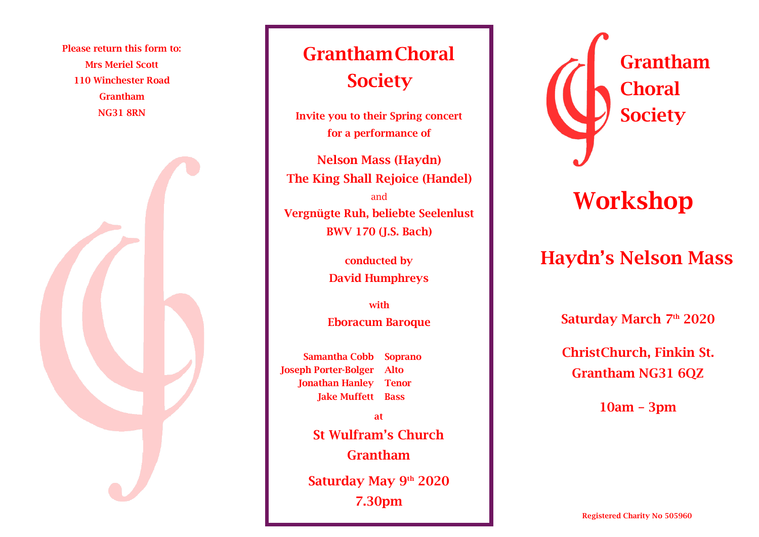Please return this form to: Mrs Meriel Scott 110 Winchester Road Grantham NG31 8RN



## GranthamChoral **Society**

Invite you to their Spring concert for a performance of

Nelson Mass (Haydn) The King Shall Rejoice (Handel) and Vergnügte Ruh, beliebte Seelenlust BWV 170 (J.S. Bach)

> conducted by David Humphreys

with Eboracum Baroque

Samantha Cobb Joseph Porter-Bolger Jonathan Hanley Tenor Jake Muffett Bass Soprano Alto

> Saturday May 9<sup>th</sup> 2020 7.30pm at St Wulfram's Church Grantham



## Workshop

## Haydn's Nelson Mass

Saturday March 7th 2020

ChristChurch, Finkin St. Grantham NG31 6QZ

10am – 3pm